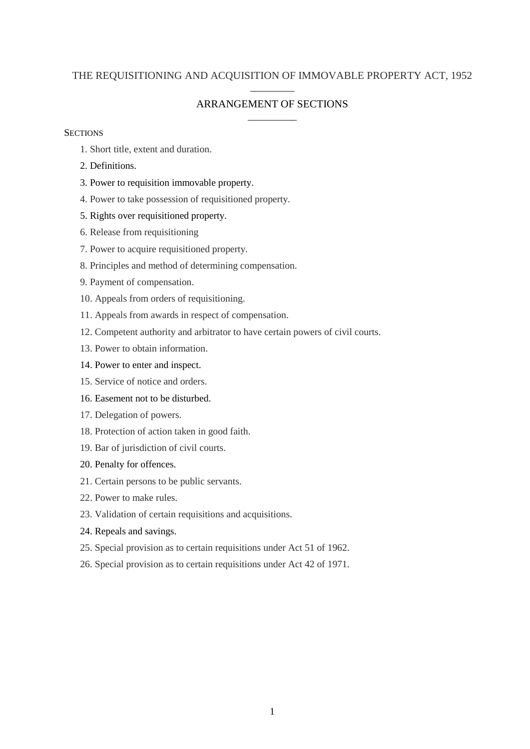## THE REQUISITIONING AND ACQUISITION OF IMMOVABLE PROPERTY ACT, 1952 \_\_\_\_\_\_\_\_\_

## ARRANGEMENT OF SECTIONS \_\_\_\_\_\_\_\_\_\_

### **SECTIONS**

- 1. Short title, extent and duration.
- 2. Definitions.
- 3. Power to requisition immovable property.
- 4. Power to take possession of requisitioned property.
- 5. Rights over requisitioned property.
- 6. Release from requisitioning
- 7. Power to acquire requisitioned property.
- 8. Principles and method of determining compensation.
- 9. Payment of compensation.
- 10. Appeals from orders of requisitioning.
- 11. Appeals from awards in respect of compensation.
- 12. Competent authority and arbitrator to have certain powers of civil courts.
- 13. Power to obtain information.
- 14. Power to enter and inspect.
- 15. Service of notice and orders.
- 16. Easement not to be disturbed.
- 17. Delegation of powers.
- 18. Protection of action taken in good faith.
- 19. Bar of jurisdiction of civil courts.
- 20. Penalty for offences.
- 21. Certain persons to be public servants.
- 22. Power to make rules.
- 23. Validation of certain requisitions and acquisitions.
- 24. Repeals and savings.
- 25. Special provision as to certain requisitions under Act 51 of 1962.
- 26. Special provision as to certain requisitions under Act 42 of 1971.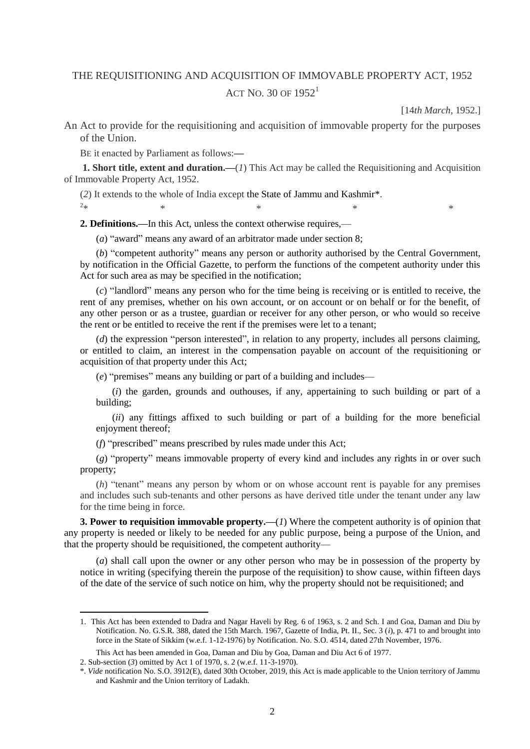# THE REQUISITIONING AND ACQUISITION OF IMMOVABLE PROPERTY ACT, 1952 ACT NO. 30 OF  $1952<sup>1</sup>$

[14*th March*, 1952.]

An Act to provide for the requisitioning and acquisition of immovable property for the purposes of the Union.

BE it enacted by Parliament as follows:**—**

 $2_{\ast}$ 

 $\overline{a}$ 

**1. Short title, extent and duration.—**(*1*) This Act may be called the Requisitioning and Acquisition of Immovable Property Act, 1952.

 $*$   $*$   $*$   $*$   $*$   $*$   $*$ 

(*2*) It extends to the whole of India except the State of Jammu and Kashmir\*.

**2. Definitions.—**In this Act, unless the context otherwise requires,—

(*a*) "award" means any award of an arbitrator made under section 8;

(*b*) "competent authority" means any person or authority authorised by the Central Government, by notification in the Official Gazette, to perform the functions of the competent authority under this Act for such area as may be specified in the notification;

(*c*) "landlord" means any person who for the time being is receiving or is entitled to receive, the rent of any premises, whether on his own account, or on account or on behalf or for the benefit, of any other person or as a trustee, guardian or receiver for any other person, or who would so receive the rent or be entitled to receive the rent if the premises were let to a tenant;

(*d*) the expression "person interested", in relation to any property, includes all persons claiming, or entitled to claim, an interest in the compensation payable on account of the requisitioning or acquisition of that property under this Act;

(*e*) "premises" means any building or part of a building and includes—

(*i*) the garden, grounds and outhouses, if any, appertaining to such building or part of a building;

(*ii*) any fittings affixed to such building or part of a building for the more beneficial enjoyment thereof;

(*f*) "prescribed" means prescribed by rules made under this Act;

(*g*) "property" means immovable property of every kind and includes any rights in or over such property;

(*h*) "tenant" means any person by whom or on whose account rent is payable for any premises and includes such sub-tenants and other persons as have derived title under the tenant under any law for the time being in force.

**3. Power to requisition immovable property.—**(*1*) Where the competent authority is of opinion that any property is needed or likely to be needed for any public purpose, being a purpose of the Union, and that the property should be requisitioned, the competent authority—

(*a*) shall call upon the owner or any other person who may be in possession of the property by notice in writing (specifying therein the purpose of the requisition) to show cause, within fifteen days of the date of the service of such notice on him, why the property should not be requisitioned; and

<sup>1.</sup> This Act has been extended to Dadra and Nagar Haveli by Reg. 6 of 1963, s. 2 and Sch. I and Goa, Daman and Diu by Notification. No. G.S.R. 388, dated the 15th March. 1967, Gazette of India, Pt. II., Sec. 3 (*i*), p. 471 to and brought into force in the State of Sikkim (w.e.f. 1-12-1976) by Notification. No. S.O. 4514, dated 27th November, 1976.

This Act has been amended in Goa, Daman and Diu by Goa, Daman and Diu Act 6 of 1977.

<sup>2.</sup> Sub-section (*3*) omitted by Act 1 of 1970, s. 2 (w.e.f. 11-3-1970).

<sup>\*.</sup> *Vide* notification No. S.O. 3912(E), dated 30th October, 2019, this Act is made applicable to the Union territory of Jammu and Kashmir and the Union territory of Ladakh.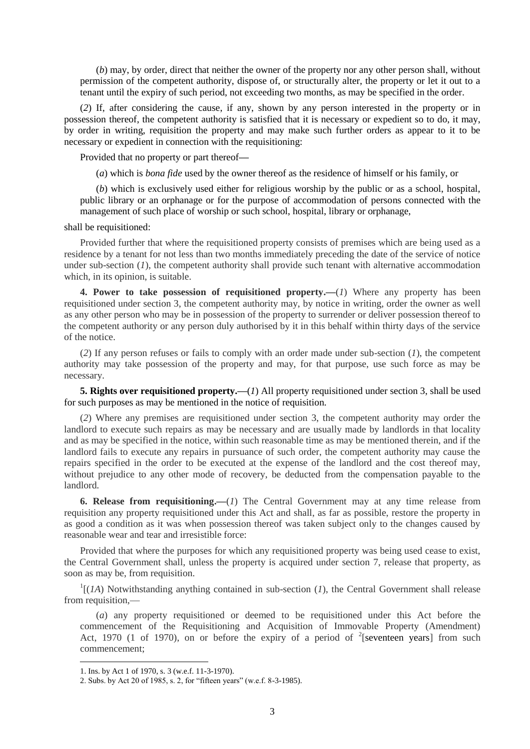(*b*) may, by order, direct that neither the owner of the property nor any other person shall, without permission of the competent authority, dispose of, or structurally alter, the property or let it out to a tenant until the expiry of such period, not exceeding two months, as may be specified in the order.

(*2*) If, after considering the cause, if any, shown by any person interested in the property or in possession thereof, the competent authority is satisfied that it is necessary or expedient so to do, it may, by order in writing, requisition the property and may make such further orders as appear to it to be necessary or expedient in connection with the requisitioning:

Provided that no property or part thereof**—**

(*a*) which is *bona fide* used by the owner thereof as the residence of himself or his family, or

(*b*) which is exclusively used either for religious worship by the public or as a school, hospital, public library or an orphanage or for the purpose of accommodation of persons connected with the management of such place of worship or such school, hospital, library or orphanage,

#### shall be requisitioned:

Provided further that where the requisitioned property consists of premises which are being used as a residence by a tenant for not less than two months immediately preceding the date of the service of notice under sub-section  $(I)$ , the competent authority shall provide such tenant with alternative accommodation which, in its opinion, is suitable.

**4. Power to take possession of requisitioned property.—**(*1*) Where any property has been requisitioned under section 3, the competent authority may, by notice in writing, order the owner as well as any other person who may be in possession of the property to surrender or deliver possession thereof to the competent authority or any person duly authorised by it in this behalf within thirty days of the service of the notice.

(*2*) If any person refuses or fails to comply with an order made under sub-section (*1*), the competent authority may take possession of the property and may, for that purpose, use such force as may be necessary.

**5. Rights over requisitioned property.—(***1***)** All property requisitioned under section 3, shall be used for such purposes as may be mentioned in the notice of requisition.

(*2*) Where any premises are requisitioned under section 3, the competent authority may order the landlord to execute such repairs as may be necessary and are usually made by landlords in that locality and as may be specified in the notice, within such reasonable time as may be mentioned therein, and if the landlord fails to execute any repairs in pursuance of such order, the competent authority may cause the repairs specified in the order to be executed at the expense of the landlord and the cost thereof may, without prejudice to any other mode of recovery, be deducted from the compensation payable to the landlord.

**6. Release from requisitioning.—**(*1*) The Central Government may at any time release from requisition any property requisitioned under this Act and shall, as far as possible, restore the property in as good a condition as it was when possession thereof was taken subject only to the changes caused by reasonable wear and tear and irresistible force:

Provided that where the purposes for which any requisitioned property was being used cease to exist, the Central Government shall, unless the property is acquired under section 7, release that property, as soon as may be, from requisition.

 $\frac{1}{1}$ [(*1A*) Notwithstanding anything contained in sub-section (*1*), the Central Government shall release from requisition,—

(*a*) any property requisitioned or deemed to be requisitioned under this Act before the commencement of the Requisitioning and Acquisition of Immovable Property (Amendment) Act, 1970 (1 of 1970), on or before the expiry of a period of  $2$ [seventeen years] from such commencement;

1

<sup>1.</sup> Ins. by Act 1 of 1970, s. 3 (w.e.f. 11-3-1970).

<sup>2.</sup> Subs. by Act 20 of 1985, s. 2, for "fifteen years" (w.e.f. 8-3-1985).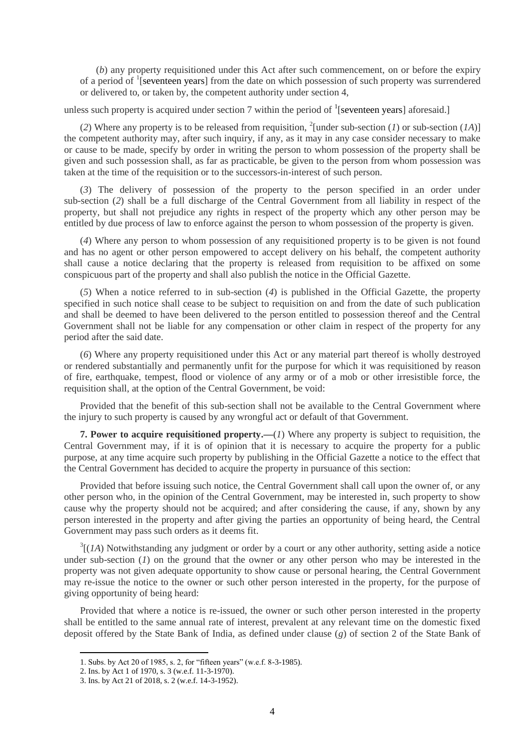(*b*) any property requisitioned under this Act after such commencement, on or before the expiry of a period of <sup>1</sup>[seventeen years] from the date on which possession of such property was surrendered or delivered to, or taken by, the competent authority under section 4,

unless such property is acquired under section 7 within the period of  $\frac{1}{s}$  [seventeen years] aforesaid.]

(2) Where any property is to be released from requisition, <sup>2</sup>[under sub-section (*1*) or sub-section (*1A*)] the competent authority may, after such inquiry, if any, as it may in any case consider necessary to make or cause to be made, specify by order in writing the person to whom possession of the property shall be given and such possession shall, as far as practicable, be given to the person from whom possession was taken at the time of the requisition or to the successors-in-interest of such person.

(*3*) The delivery of possession of the property to the person specified in an order under sub-section (*2*) shall be a full discharge of the Central Government from all liability in respect of the property, but shall not prejudice any rights in respect of the property which any other person may be entitled by due process of law to enforce against the person to whom possession of the property is given.

(*4*) Where any person to whom possession of any requisitioned property is to be given is not found and has no agent or other person empowered to accept delivery on his behalf, the competent authority shall cause a notice declaring that the property is released from requisition to be affixed on some conspicuous part of the property and shall also publish the notice in the Official Gazette.

(*5*) When a notice referred to in sub-section (*4*) is published in the Official Gazette, the property specified in such notice shall cease to be subject to requisition on and from the date of such publication and shall be deemed to have been delivered to the person entitled to possession thereof and the Central Government shall not be liable for any compensation or other claim in respect of the property for any period after the said date.

(*6*) Where any property requisitioned under this Act or any material part thereof is wholly destroyed or rendered substantially and permanently unfit for the purpose for which it was requisitioned by reason of fire, earthquake, tempest, flood or violence of any army or of a mob or other irresistible force, the requisition shall, at the option of the Central Government, be void:

Provided that the benefit of this sub-section shall not be available to the Central Government where the injury to such property is caused by any wrongful act or default of that Government.

**7.** Power to acquire requisitioned property.—(*1*) Where any property is subject to requisition, the Central Government may, if it is of opinion that it is necessary to acquire the property for a public purpose, at any time acquire such property by publishing in the Official Gazette a notice to the effect that the Central Government has decided to acquire the property in pursuance of this section:

Provided that before issuing such notice, the Central Government shall call upon the owner of, or any other person who, in the opinion of the Central Government, may be interested in, such property to show cause why the property should not be acquired; and after considering the cause, if any, shown by any person interested in the property and after giving the parties an opportunity of being heard, the Central Government may pass such orders as it deems fit.

 $3[(1A)$  Notwithstanding any judgment or order by a court or any other authority, setting aside a notice under sub-section (*1*) on the ground that the owner or any other person who may be interested in the property was not given adequate opportunity to show cause or personal hearing, the Central Government may re-issue the notice to the owner or such other person interested in the property, for the purpose of giving opportunity of being heard:

Provided that where a notice is re-issued, the owner or such other person interested in the property shall be entitled to the same annual rate of interest, prevalent at any relevant time on the domestic fixed deposit offered by the State Bank of India, as defined under clause (*g*) of section 2 of the State Bank of

<sup>1.</sup> Subs. by Act 20 of 1985, s. 2, for "fifteen years" (w.e.f. 8-3-1985).

<sup>2.</sup> Ins. by Act 1 of 1970, s. 3 (w.e.f. 11-3-1970).

<sup>3.</sup> Ins. by Act 21 of 2018, s. 2 (w.e.f. 14-3-1952).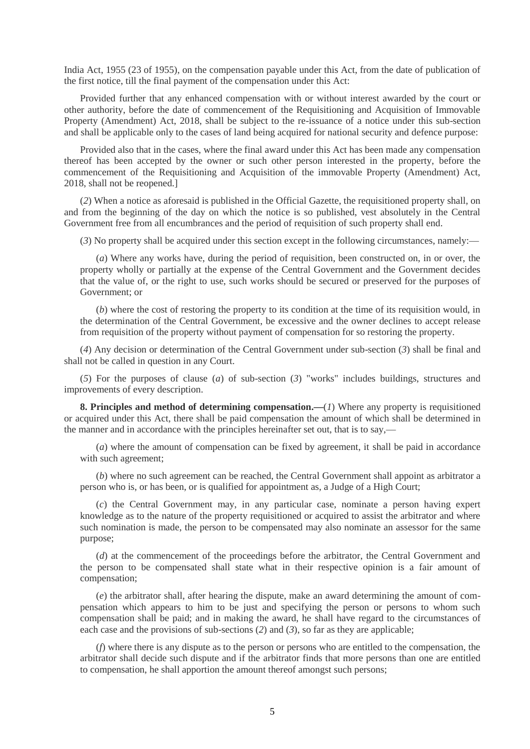India Act, 1955 (23 of 1955), on the compensation payable under this Act, from the date of publication of the first notice, till the final payment of the compensation under this Act:

Provided further that any enhanced compensation with or without interest awarded by the court or other authority, before the date of commencement of the Requisitioning and Acquisition of Immovable Property (Amendment) Act, 2018, shall be subject to the re-issuance of a notice under this sub-section and shall be applicable only to the cases of land being acquired for national security and defence purpose:

Provided also that in the cases, where the final award under this Act has been made any compensation thereof has been accepted by the owner or such other person interested in the property, before the commencement of the Requisitioning and Acquisition of the immovable Property (Amendment) Act, 2018, shall not be reopened.]

(*2*) When a notice as aforesaid is published in the Official Gazette, the requisitioned property shall, on and from the beginning of the day on which the notice is so published, vest absolutely in the Central Government free from all encumbrances and the period of requisition of such property shall end.

(*3*) No property shall be acquired under this section except in the following circumstances, namely:—

(*a*) Where any works have, during the period of requisition, been constructed on, in or over, the property wholly or partially at the expense of the Central Government and the Government decides that the value of, or the right to use, such works should be secured or preserved for the purposes of Government; or

(*b*) where the cost of restoring the property to its condition at the time of its requisition would, in the determination of the Central Government, be excessive and the owner declines to accept release from requisition of the property without payment of compensation for so restoring the property.

(*4*) Any decision or determination of the Central Government under sub-section (*3*) shall be final and shall not be called in question in any Court.

(*5*) For the purposes of clause (*a*) of sub-section (*3*) "works" includes buildings, structures and improvements of every description.

**8. Principles and method of determining compensation.—**(*1*) Where any property is requisitioned or acquired under this Act, there shall be paid compensation the amount of which shall be determined in the manner and in accordance with the principles hereinafter set out, that is to say,—

(*a*) where the amount of compensation can be fixed by agreement, it shall be paid in accordance with such agreement;

(*b*) where no such agreement can be reached, the Central Government shall appoint as arbitrator a person who is, or has been, or is qualified for appointment as, a Judge of a High Court;

(*c*) the Central Government may, in any particular case, nominate a person having expert knowledge as to the nature of the property requisitioned or acquired to assist the arbitrator and where such nomination is made, the person to be compensated may also nominate an assessor for the same purpose;

(*d*) at the commencement of the proceedings before the arbitrator, the Central Government and the person to be compensated shall state what in their respective opinion is a fair amount of compensation;

(*e*) the arbitrator shall, after hearing the dispute, make an award determining the amount of compensation which appears to him to be just and specifying the person or persons to whom such compensation shall be paid; and in making the award, he shall have regard to the circumstances of each case and the provisions of sub-sections (*2*) and (*3*), so far as they are applicable;

(*f*) where there is any dispute as to the person or persons who are entitled to the compensation, the arbitrator shall decide such dispute and if the arbitrator finds that more persons than one are entitled to compensation, he shall apportion the amount thereof amongst such persons;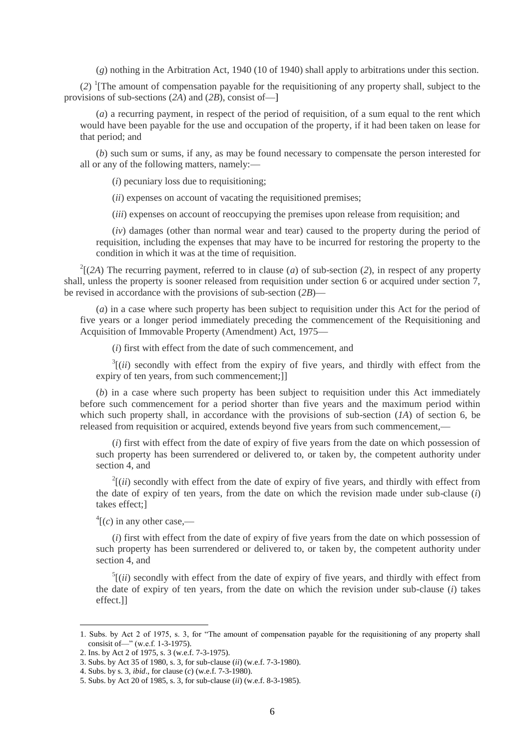(*g*) nothing in the Arbitration Act, 1940 (10 of 1940) shall apply to arbitrations under this section.

(*2*) 1 [The amount of compensation payable for the requisitioning of any property shall, subject to the provisions of sub-sections (*2A*) and (*2B*), consist of—]

(*a*) a recurring payment, in respect of the period of requisition, of a sum equal to the rent which would have been payable for the use and occupation of the property, if it had been taken on lease for that period; and

(*b*) such sum or sums, if any, as may be found necessary to compensate the person interested for all or any of the following matters, namely:—

(*i*) pecuniary loss due to requisitioning;

(*ii*) expenses on account of vacating the requisitioned premises;

(*iii*) expenses on account of reoccupying the premises upon release from requisition; and

(*iv*) damages (other than normal wear and tear) caused to the property during the period of requisition, including the expenses that may have to be incurred for restoring the property to the condition in which it was at the time of requisition.

 $2^2$ [(2A) The recurring payment, referred to in clause (*a*) of sub-section (2), in respect of any property shall, unless the property is sooner released from requisition under section 6 or acquired under section 7, be revised in accordance with the provisions of sub-section (*2B*)—

(*a*) in a case where such property has been subject to requisition under this Act for the period of five years or a longer period immediately preceding the commencement of the Requisitioning and Acquisition of Immovable Property (Amendment) Act, 1975—

(*i*) first with effect from the date of such commencement, and

 $3$ [(*ii*) secondly with effect from the expiry of five years, and thirdly with effect from the expiry of ten years, from such commencement;]]

(*b*) in a case where such property has been subject to requisition under this Act immediately before such commencement for a period shorter than five years and the maximum period within which such property shall, in accordance with the provisions of sub-section (*1A*) of section 6, be released from requisition or acquired, extends beyond five years from such commencement,—

(*i*) first with effect from the date of expiry of five years from the date on which possession of such property has been surrendered or delivered to, or taken by, the competent authority under section 4, and

 $2^{2}$ [(*ii*) secondly with effect from the date of expiry of five years, and thirdly with effect from the date of expiry of ten years, from the date on which the revision made under sub-clause (*i*) takes effect;]

 $\sqrt[4]{(c)}$  in any other case,—

(*i*) first with effect from the date of expiry of five years from the date on which possession of such property has been surrendered or delivered to, or taken by, the competent authority under section 4, and

 $<sup>5</sup>$ [(*ii*) secondly with effect from the date of expiry of five years, and thirdly with effect from</sup> the date of expiry of ten years, from the date on which the revision under sub-clause (*i*) takes effect.]]

<sup>1.</sup> Subs. by Act 2 of 1975, s. 3, for "The amount of compensation payable for the requisitioning of any property shall consisit of—" (w.e.f. 1-3-1975).

<sup>2.</sup> Ins. by Act 2 of 1975, s. 3 (w.e.f. 7-3-1975).

<sup>3.</sup> Subs. by Act 35 of 1980, s. 3, for sub-clause (*ii*) (w.e.f. 7-3-1980).

<sup>4.</sup> Subs. by s. 3, *ibid*., for clause (*c*) (w.e.f. 7-3-1980).

<sup>5.</sup> Subs. by Act 20 of 1985, s. 3, for sub-clause (*ii*) (w.e.f. 8-3-1985).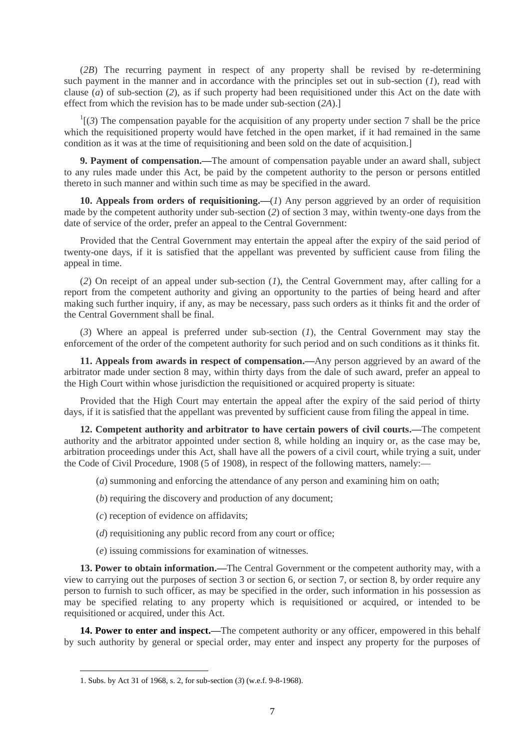(*2B*) The recurring payment in respect of any property shall be revised by re-determining such payment in the manner and in accordance with the principles set out in sub-section (*1*), read with clause (*a*) of sub-section (*2*), as if such property had been requisitioned under this Act on the date with effect from which the revision has to be made under sub-section (*2A*).]

 $\frac{1}{3}$  The compensation payable for the acquisition of any property under section 7 shall be the price which the requisitioned property would have fetched in the open market, if it had remained in the same condition as it was at the time of requisitioning and been sold on the date of acquisition.]

**9. Payment of compensation.—**The amount of compensation payable under an award shall, subject to any rules made under this Act, be paid by the competent authority to the person or persons entitled thereto in such manner and within such time as may be specified in the award.

**10. Appeals from orders of requisitioning.**—(*1*) Any person aggrieved by an order of requisition made by the competent authority under sub-section (*2*) of section 3 may, within twenty-one days from the date of service of the order, prefer an appeal to the Central Government:

Provided that the Central Government may entertain the appeal after the expiry of the said period of twenty-one days, if it is satisfied that the appellant was prevented by sufficient cause from filing the appeal in time.

(*2*) On receipt of an appeal under sub-section (*1*), the Central Government may, after calling for a report from the competent authority and giving an opportunity to the parties of being heard and after making such further inquiry, if any, as may be necessary, pass such orders as it thinks fit and the order of the Central Government shall be final.

(*3*) Where an appeal is preferred under sub-section (*1*), the Central Government may stay the enforcement of the order of the competent authority for such period and on such conditions as it thinks fit.

**11. Appeals from awards in respect of compensation.—**Any person aggrieved by an award of the arbitrator made under section 8 may, within thirty days from the dale of such award, prefer an appeal to the High Court within whose jurisdiction the requisitioned or acquired property is situate:

Provided that the High Court may entertain the appeal after the expiry of the said period of thirty days, if it is satisfied that the appellant was prevented by sufficient cause from filing the appeal in time.

**12. Competent authority and arbitrator to have certain powers of civil courts.—**The competent authority and the arbitrator appointed under section 8, while holding an inquiry or, as the case may be, arbitration proceedings under this Act, shall have all the powers of a civil court, while trying a suit, under the Code of Civil Procedure, 1908 (5 of 1908), in respect of the following matters, namely:—

(*a*) summoning and enforcing the attendance of any person and examining him on oath;

(*b*) requiring the discovery and production of any document;

(*c*) reception of evidence on affidavits;

(*d*) requisitioning any public record from any court or office;

(*e*) issuing commissions for examination of witnesses.

**13. Power to obtain information.—**The Central Government or the competent authority may, with a view to carrying out the purposes of section 3 or section 6, or section 7, or section 8, by order require any person to furnish to such officer, as may be specified in the order, such information in his possession as may be specified relating to any property which is requisitioned or acquired, or intended to be requisitioned or acquired, under this Act.

**14. Power to enter and inspect.—The competent authority or any officer, empowered in this behalf** by such authority by general or special order, may enter and inspect any property for the purposes of

<sup>1.</sup> Subs. by Act 31 of 1968, s. 2, for sub-section (*3*) (w.e.f. 9-8-1968).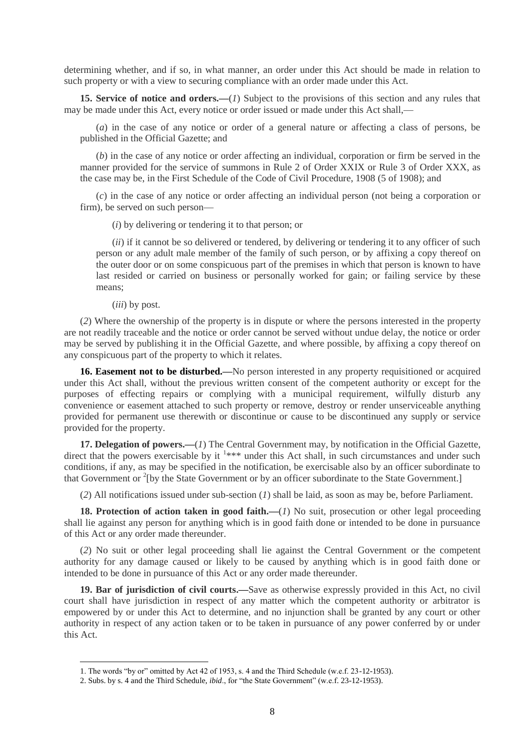determining whether, and if so, in what manner, an order under this Act should be made in relation to such property or with a view to securing compliance with an order made under this Act.

**15. Service of notice and orders.—**(*1*) Subject to the provisions of this section and any rules that may be made under this Act, every notice or order issued or made under this Act shall.—

(*a*) in the case of any notice or order of a general nature or affecting a class of persons, be published in the Official Gazette; and

(*b*) in the case of any notice or order affecting an individual, corporation or firm be served in the manner provided for the service of summons in Rule 2 of Order XXIX or Rule 3 of Order XXX, as the case may be, in the First Schedule of the Code of Civil Procedure, 1908 (5 of 1908); and

(*c*) in the case of any notice or order affecting an individual person (not being a corporation or firm), be served on such person—

(*i*) by delivering or tendering it to that person; or

(*ii*) if it cannot be so delivered or tendered, by delivering or tendering it to any officer of such person or any adult male member of the family of such person, or by affixing a copy thereof on the outer door or on some conspicuous part of the premises in which that person is known to have last resided or carried on business or personally worked for gain; or failing service by these means;

(*iii*) by post.

1

(*2*) Where the ownership of the property is in dispute or where the persons interested in the property are not readily traceable and the notice or order cannot be served without undue delay, the notice or order may be served by publishing it in the Official Gazette, and where possible, by affixing a copy thereof on any conspicuous part of the property to which it relates.

**16. Easement not to be disturbed.—No person interested in any property requisitioned or acquired** under this Act shall, without the previous written consent of the competent authority or except for the purposes of effecting repairs or complying with a municipal requirement, wilfully disturb any convenience or easement attached to such property or remove, destroy or render unserviceable anything provided for permanent use therewith or discontinue or cause to be discontinued any supply or service provided for the property.

**17. Delegation of powers.—**(*1*) The Central Government may, by notification in the Official Gazette, direct that the powers exercisable by it  $1***$  under this Act shall, in such circumstances and under such conditions, if any, as may be specified in the notification, be exercisable also by an officer subordinate to that Government or <sup>2</sup>[by the State Government or by an officer subordinate to the State Government.]

(*2*) All notifications issued under sub-section (*1*) shall be laid, as soon as may be, before Parliament.

**18. Protection of action taken in good faith.—**(*1*) No suit, prosecution or other legal proceeding shall lie against any person for anything which is in good faith done or intended to be done in pursuance of this Act or any order made thereunder.

(*2*) No suit or other legal proceeding shall lie against the Central Government or the competent authority for any damage caused or likely to be caused by anything which is in good faith done or intended to be done in pursuance of this Act or any order made thereunder.

**19. Bar of jurisdiction of civil courts.—**Save as otherwise expressly provided in this Act, no civil court shall have jurisdiction in respect of any matter which the competent authority or arbitrator is empowered by or under this Act to determine, and no injunction shall be granted by any court or other authority in respect of any action taken or to be taken in pursuance of any power conferred by or under this Act.

<sup>1.</sup> The words "by or" omitted by Act 42 of 1953, s. 4 and the Third Schedule (w.e.f. 23-12-1953).

<sup>2.</sup> Subs. by s. 4 and the Third Schedule, *ibid*., for "the State Government" (w.e.f. 23-12-1953).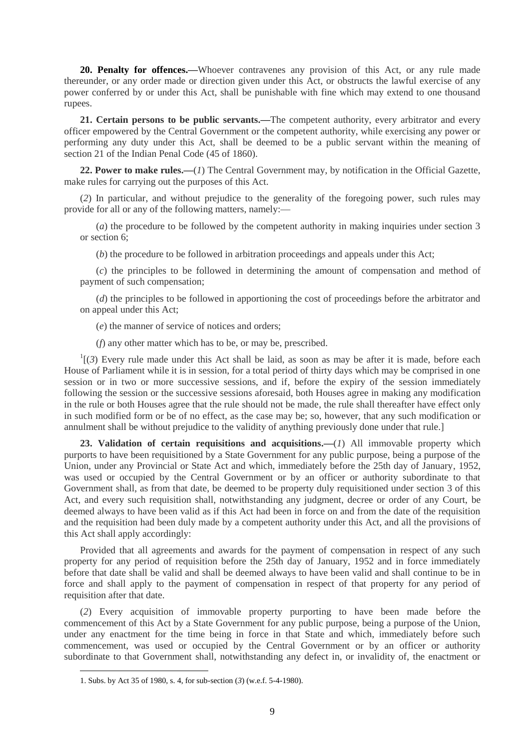**20. Penalty for offences.—**Whoever contravenes any provision of this Act, or any rule made thereunder, or any order made or direction given under this Act, or obstructs the lawful exercise of any power conferred by or under this Act, shall be punishable with fine which may extend to one thousand rupees.

**21. Certain persons to be public servants.—**The competent authority, every arbitrator and every officer empowered by the Central Government or the competent authority, while exercising any power or performing any duty under this Act, shall be deemed to be a public servant within the meaning of section 21 of the Indian Penal Code (45 of 1860).

**22. Power to make rules.—**(*1*) The Central Government may, by notification in the Official Gazette, make rules for carrying out the purposes of this Act.

(*2*) In particular, and without prejudice to the generality of the foregoing power, such rules may provide for all or any of the following matters, namely:—

(*a*) the procedure to be followed by the competent authority in making inquiries under section 3 or section 6;

(*b*) the procedure to be followed in arbitration proceedings and appeals under this Act;

(*c*) the principles to be followed in determining the amount of compensation and method of payment of such compensation;

(*d*) the principles to be followed in apportioning the cost of proceedings before the arbitrator and on appeal under this Act;

(*e*) the manner of service of notices and orders;

(*f*) any other matter which has to be, or may be, prescribed.

 $\frac{1}{3}$  Every rule made under this Act shall be laid, as soon as may be after it is made, before each House of Parliament while it is in session, for a total period of thirty days which may be comprised in one session or in two or more successive sessions, and if, before the expiry of the session immediately following the session or the successive sessions aforesaid, both Houses agree in making any modification in the rule or both Houses agree that the rule should not be made, the rule shall thereafter have effect only in such modified form or be of no effect, as the case may be; so, however, that any such modification or annulment shall be without prejudice to the validity of anything previously done under that rule.]

**23. Validation of certain requisitions and acquisitions.—**(*1*) All immovable property which purports to have been requisitioned by a State Government for any public purpose, being a purpose of the Union, under any Provincial or State Act and which, immediately before the 25th day of January, 1952, was used or occupied by the Central Government or by an officer or authority subordinate to that Government shall, as from that date, be deemed to be property duly requisitioned under section 3 of this Act, and every such requisition shall, notwithstanding any judgment, decree or order of any Court, be deemed always to have been valid as if this Act had been in force on and from the date of the requisition and the requisition had been duly made by a competent authority under this Act, and all the provisions of this Act shall apply accordingly:

Provided that all agreements and awards for the payment of compensation in respect of any such property for any period of requisition before the 25th day of January, 1952 and in force immediately before that date shall be valid and shall be deemed always to have been valid and shall continue to be in force and shall apply to the payment of compensation in respect of that property for any period of requisition after that date.

(*2*) Every acquisition of immovable property purporting to have been made before the commencement of this Act by a State Government for any public purpose, being a purpose of the Union, under any enactment for the time being in force in that State and which, immediately before such commencement, was used or occupied by the Central Government or by an officer or authority subordinate to that Government shall, notwithstanding any defect in, or invalidity of, the enactment or

<sup>1.</sup> Subs. by Act 35 of 1980, s. 4, for sub-section (*3*) (w.e.f. 5-4-1980).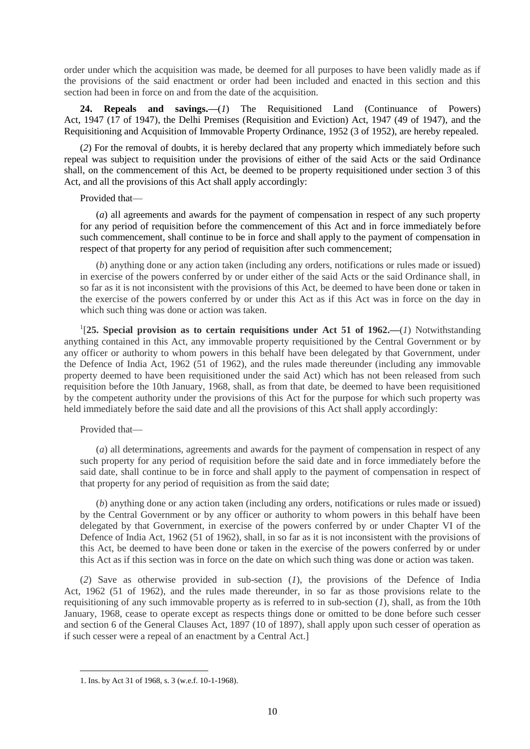order under which the acquisition was made, be deemed for all purposes to have been validly made as if the provisions of the said enactment or order had been included and enacted in this section and this section had been in force on and from the date of the acquisition.

**24. Repeals and savings.—**(*1*) The Requisitioned Land (Continuance of Powers) Act, 1947 (17 of 1947), the Delhi Premises (Requisition and Eviction) Act, 1947 (49 of 1947), and the Requisitioning and Acquisition of Immovable Property Ordinance, 1952 (3 of 1952), are hereby repealed.

(*2*) For the removal of doubts, it is hereby declared that any property which immediately before such repeal was subject to requisition under the provisions of either of the said Acts or the said Ordinance shall, on the commencement of this Act, be deemed to be property requisitioned under section 3 of this Act, and all the provisions of this Act shall apply accordingly:

Provided that—

(*a*) all agreements and awards for the payment of compensation in respect of any such property for any period of requisition before the commencement of this Act and in force immediately before such commencement, shall continue to be in force and shall apply to the payment of compensation in respect of that property for any period of requisition after such commencement;

(*b*) anything done or any action taken (including any orders, notifications or rules made or issued) in exercise of the powers conferred by or under either of the said Acts or the said Ordinance shall, in so far as it is not inconsistent with the provisions of this Act, be deemed to have been done or taken in the exercise of the powers conferred by or under this Act as if this Act was in force on the day in which such thing was done or action was taken.

1 [**25. Special provision as to certain requisitions under Act 51 of 1962.—**(*1*) Notwithstanding anything contained in this Act, any immovable property requisitioned by the Central Government or by any officer or authority to whom powers in this behalf have been delegated by that Government, under the Defence of India Act, 1962 (51 of 1962), and the rules made thereunder (including any immovable property deemed to have been requisitioned under the said Act) which has not been released from such requisition before the 10th January, 1968, shall, as from that date, be deemed to have been requisitioned by the competent authority under the provisions of this Act for the purpose for which such property was held immediately before the said date and all the provisions of this Act shall apply accordingly:

Provided that—

**.** 

(*a*) all determinations, agreements and awards for the payment of compensation in respect of any such property for any period of requisition before the said date and in force immediately before the said date, shall continue to be in force and shall apply to the payment of compensation in respect of that property for any period of requisition as from the said date;

(*b*) anything done or any action taken (including any orders, notifications or rules made or issued) by the Central Government or by any officer or authority to whom powers in this behalf have been delegated by that Government, in exercise of the powers conferred by or under Chapter VI of the Defence of India Act, 1962 (51 of 1962), shall, in so far as it is not inconsistent with the provisions of this Act, be deemed to have been done or taken in the exercise of the powers conferred by or under this Act as if this section was in force on the date on which such thing was done or action was taken.

(*2*) Save as otherwise provided in sub-section (*1*), the provisions of the Defence of India Act, 1962 (51 of 1962), and the rules made thereunder, in so far as those provisions relate to the requisitioning of any such immovable property as is referred to in sub-section (*1*), shall, as from the 10th January, 1968, cease to operate except as respects things done or omitted to be done before such cesser and section 6 of the General Clauses Act, 1897 (10 of 1897), shall apply upon such cesser of operation as if such cesser were a repeal of an enactment by a Central Act.]

<sup>1.</sup> Ins. by Act 31 of 1968, s. 3 (w.e.f. 10-1-1968).